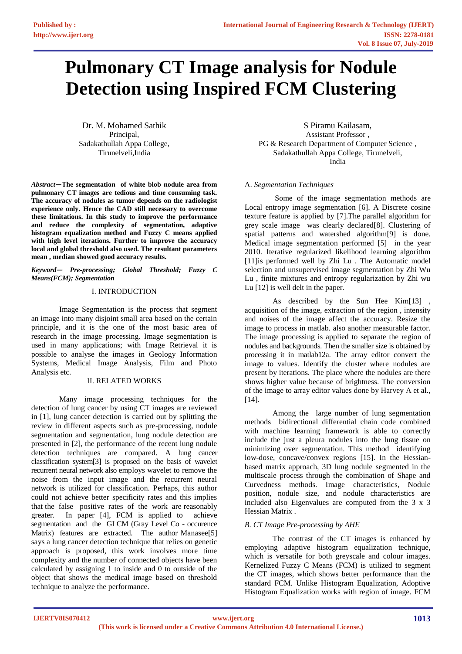# **Pulmonary CT Image analysis for Nodule Detection using Inspired FCM Clustering**

Dr. M. Mohamed Sathik Principal, Sadakathullah Appa College, Tirunelveli,India

*Abstract***—The segmentation of white blob nodule area from pulmonary CT images are tedious and time consuming task. The accuracy of nodules as tumor depends on the radiologist experience only. Hence the CAD still necessary to overcome these limitations. In this study to improve the performance and reduce the complexity of segmentation, adaptive histogram equalization method and Fuzzy C means applied with high level iterations. Further to improve the accuracy local and global threshold also used. The resultant parameters mean , median showed good accuracy results.**

*Keyword— Pre-processing; Global Threshold; Fuzzy C Means(FCM); Segmentation*

## I. INTRODUCTION

Image Segmentation is the process that segment an image into many disjoint small area based on the certain principle, and it is the one of the most basic area of research in the image processing. Image segmentation is used in many applications; with Image Retrieval it is possible to analyse the images in Geology Information Systems, Medical Image Analysis, Film and Photo Analysis etc.

# II. RELATED WORKS

Many image processing techniques for the detection of lung cancer by using CT images are reviewed in [1], lung cancer detection is carried out by splitting the review in different aspects such as pre-processing, nodule segmentation and segmentation, lung nodule detection are presented in [2], the performance of the recent lung nodule detection techniques are compared. A lung cancer classification system[3] is proposed on the basis of wavelet recurrent neural network also employs wavelet to remove the noise from the input image and the recurrent neural network is utilized for classification. Perhaps, this author could not achieve better specificity rates and this implies that the false positive rates of the work are reasonably greater. In paper [4], FCM is applied to achieve segmentation and the GLCM (Gray Level Co - occurence Matrix) features are extracted. The author Manasee<sup>[5]</sup> says a lung cancer detection technique that relies on genetic approach is proposed, this work involves more time complexity and the number of connected objects have been calculated by assigning 1 to inside and 0 to outside of the object that shows the medical image based on threshold technique to analyze the performance.

S Piramu Kailasam, Assistant Professor , PG & Research Department of Computer Science , Sadakathullah Appa College, Tirunelveli, India

## A. *Segmentation Techniques*

Some of the image segmentation methods are Local entropy image segmentation [6]. A Discrete cosine texture feature is applied by [7].The parallel algorithm for grey scale image was clearly declared[8]. Clustering of spatial patterns and watershed algorithm[9] is done. Medical image segmentation performed [5] in the year 2010. Iterative regularized likelihood learning algorithm [11] is performed well by Zhi Lu. The Automatic model selection and unsupervised image segmentation by Zhi Wu Lu , finite mixtures and entropy regularization by Zhi wu Lu [12] is well delt in the paper.

As described by the Sun Hee Kim[13] , acquisition of the image, extraction of the region , intensity and noises of the image affect the accuracy. Resize the image to process in matlab. also another measurable factor. The image processing is applied to separate the region of nodules and backgrounds. Then the smaller size is obtained by processing it in matlab12a. The array editor convert the image to values. Identify the cluster where nodules are present by iterations. The place where the nodules are there shows higher value because of brightness. The conversion of the image to array editor values done by Harvey A et al.,  $[14]$ .

Among the large number of lung segmentation methods bidirectional differential chain code combined with machine learning framework is able to correctly include the just a pleura nodules into the lung tissue on minimizing over segmentation. This method identifying low-dose, concave/convex regions [15]. In the Hessianbased matrix approach, 3D lung nodule segmented in the multiscale process through the combination of Shape and Curvedness methods. Image characteristics, Nodule position, nodule size, and nodule characteristics are included also Eigenvalues are computed from the 3 x 3 Hessian Matrix .

# *B. CT Image Pre-processing by AHE*

The contrast of the CT images is enhanced by employing adaptive histogram equalization technique, which is versatile for both greyscale and colour images. Kernelized Fuzzy C Means (FCM) is utilized to segment the CT images, which shows better performance than the standard FCM. Unlike Histogram Equalization, Adoptive Histogram Equalization works with region of image. FCM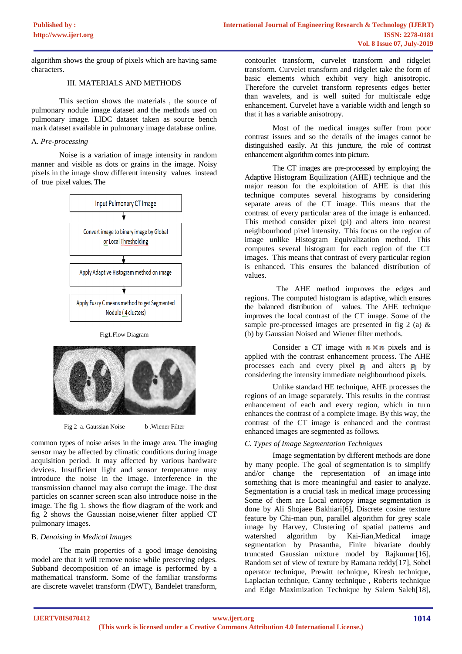algorithm shows the group of pixels which are having same characters.

# III. MATERIALS AND METHODS

This section shows the materials , the source of pulmonary nodule image dataset and the methods used on pulmonary image. LIDC dataset taken as source bench mark dataset available in pulmonary image database online.

## A. *Pre-processing*

Noise is a variation of image intensity in random manner and visible as dots or grains in the image. Noisy pixels in the image show different intensity values instead of true pixel values. The



#### Fig1.Flow Diagram



Fig 2 a. Gaussian Noise b . Wiener Filter

common types of noise arises in the image area. The imaging sensor may be affected by climatic conditions during image acquisition period. It may affected by various hardware devices. Insufficient light and sensor temperature may introduce the noise in the image. Interference in the transmission channel may also corrupt the image. The dust particles on scanner screen scan also introduce noise in the image. The fig 1. shows the flow diagram of the work and fig 2 shows the Gaussian noise,wiener filter applied CT pulmonary images.

### B. *Denoising in Medical Images*

The main properties of a good image denoising model are that it will remove noise while preserving edges. Subband decomposition of an image is performed by a mathematical transform. Some of the familiar transforms are discrete wavelet transform (DWT), Bandelet transform,

contourlet transform, curvelet transform and ridgelet transform. Curvelet transform and ridgelet take the form of basic elements which exhibit very high anisotropic. Therefore the curvelet transform represents edges better than wavelets, and is well suited for multiscale edge enhancement. Curvelet have a variable width and length so that it has a variable anisotropy.

Most of the medical images suffer from poor contrast issues and so the details of the images cannot be distinguished easily. At this juncture, the role of contrast enhancement algorithm comes into picture.

The CT images are pre-processed by employing the Adaptive Histogram Equilization (AHE) technique and the major reason for the exploitation of AHE is that this technique computes several histograms by considering separate areas of the CT image. This means that the contrast of every particular area of the image is enhanced. This method consider pixel (pi) and alters into nearest neighbourhood pixel intensity. This focus on the region of image unlike Histogram Equivalization method. This computes several histogram for each region of the CT images. This means that contrast of every particular region is enhanced. This ensures the balanced distribution of values.

The AHE method improves the edges and regions. The computed histogram is adaptive, which ensures the balanced distribution of values. The AHE technique improves the local contrast of the CT image. Some of the sample pre-processed images are presented in fig 2 (a)  $\&$ (b) by Gaussian Noised and Wiener filter methods.

Consider a CT image with  $n \times n$  pixels and is applied with the contrast enhancement process. The AHE processes each and every pixel  $p_i$  and alters  $p_i$  by considering the intensity immediate neighbourhood pixels.

Unlike standard HE technique, AHE processes the regions of an image separately. This results in the contrast enhancement of each and every region, which in turn enhances the contrast of a complete image. By this way, the contrast of the CT image is enhanced and the contrast enhanced images are segmented as follows.

# *C. Types of Image Segmentation Techniques*

Image segmentation by different methods are done by many people. The goal of segmentation is to simplify and/or change the representation of an image into something that is more meaningful and easier to analyze. Segmentation is a crucial task in medical image processing Some of them are Local entropy image segmentation is done by Ali Shojaee Bakhiari<sup>[6]</sup>, Discrete cosine texture feature by Chi-man pun, parallel algorithm for grey scale image by Harvey, Clustering of spatial patterns and watershed algorithm by Kai-Jian,Medical image segmentation by Prasantha, Finite bivariate doubly truncated Gaussian mixture model by Rajkumar[16], Random set of view of texture by Ramana reddy[17], Sobel operator technique, Prewitt technique, Kiresh technique, Laplacian technique, Canny technique , Roberts technique and Edge Maximization Technique by Salem Saleh[18],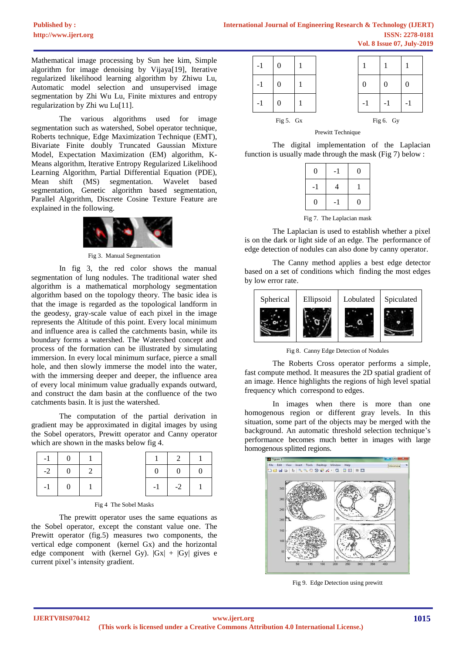Mathematical image processing by Sun hee kim, Simple algorithm for image denoising by Vijaya[19], Iterative regularized likelihood learning algorithm by Zhiwu Lu, Automatic model selection and unsupervised image segmentation by Zhi Wu Lu, Finite mixtures and entropy regularization by Zhi wu Lu[11].

The various algorithms used for image segmentation such as watershed, Sobel operator technique, Roberts technique, Edge Maximization Technique (EMT), Bivariate Finite doubly Truncated Gaussian Mixture Model, Expectation Maximization (EM) algorithm, K-Means algorithm, Iterative Entropy Regularized Likelihood Learning Algorithm, Partial Differential Equation (PDE), Mean shift (MS) segmentation. Wavelet based segmentation, Genetic algorithm based segmentation, Parallel Algorithm, Discrete Cosine Texture Feature are explained in the following.



Fig 3. Manual Segmentation

In fig 3, the red color shows the manual segmentation of lung nodules. The traditional water shed algorithm is a mathematical morphology segmentation algorithm based on the topology theory. The basic idea is that the image is regarded as the topological landform in the geodesy, gray-scale value of each pixel in the image represents the Altitude of this point. Every local minimum and influence area is called the catchments basin, while its boundary forms a watershed. The Watershed concept and process of the formation can be illustrated by simulating immersion. In every local minimum surface, pierce a small hole, and then slowly immerse the model into the water, with the immersing deeper and deeper, the influence area of every local minimum value gradually expands outward, and construct the dam basin at the confluence of the two catchments basin. It is just the watershed.

The computation of the partial derivation in gradient may be approximated in digital images by using the Sobel operators, Prewitt operator and Canny operator which are shown in the masks below fig 4.

| $-2$ 1 |     |  |      |      |  |
|--------|-----|--|------|------|--|
| $-1$   | - 0 |  | $-1$ | $-2$ |  |

|  | Fig 4 The Sobel Masks |
|--|-----------------------|
|--|-----------------------|

The prewitt operator uses the same equations as the Sobel operator, except the constant value one. The Prewitt operator (fig.5) measures two components, the vertical edge component (kernel Gx) and the horizontal edge component with (kernel Gy).  $|Gx| + |Gy|$  gives e current pixel's intensity gradient.



Prewitt Technique

The digital implementation of the Laplacian function is usually made through the mask (Fig 7) below :

| 4<br>$-1$             | 0 | $-1$ | 0 |
|-----------------------|---|------|---|
|                       |   |      |   |
| $\theta$<br>0<br>$-1$ |   |      |   |

Fig 7. The Laplacian mask

The Laplacian is used to establish whether a pixel is on the dark or light side of an edge. The performance of edge detection of nodules can also done by canny operator.

The Canny method applies a best edge detector based on a set of conditions which finding the most edges by low error rate.



Fig 8. Canny Edge Detection of Nodules

The Roberts Cross operator performs a simple, fast compute method. It measures the 2D spatial gradient of an image. Hence highlights the regions of high level spatial frequency which correspond to edges.

In images when there is more than one homogenous region or different gray levels. In this situation, some part of the objects may be merged with the background. An automatic threshold selection technique's performance becomes much better in images with large homogenous splitted regions.



Fig 9. Edge Detection using prewitt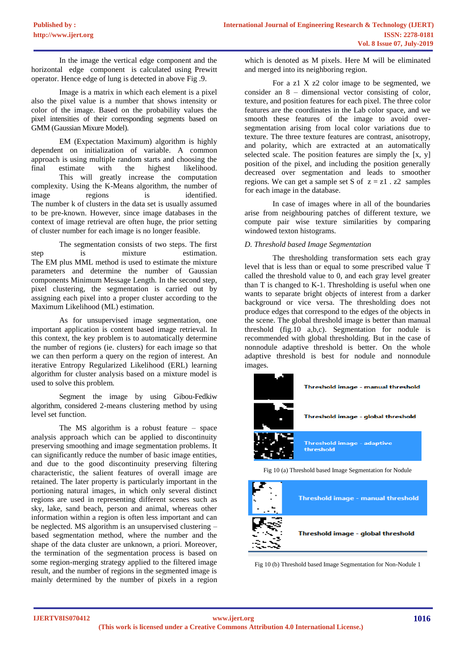In the image the vertical edge component and the horizontal edge component is calculated using Prewitt operator. Hence edge of lung is detected in above Fig .9.

Image is a matrix in which each element is a pixel also the pixel value is a number that shows intensity or color of the image. Based on the probability values the pixel intensities of their corresponding segments based on GMM (Gaussian Mixure Model).

EM (Expectation Maximum) algorithm is highly dependent on initialization of variable. A common approach is using multiple random starts and choosing the final estimate with the highest likelihood. This will greatly increase the computation complexity. Using the K-Means algorithm, the number of image regions is identified. The number k of clusters in the data set is usually assumed to be pre-known. However, since image databases in the context of image retrieval are often huge, the prior setting of cluster number for each image is no longer feasible.

The segmentation consists of two steps. The first step is mixture estimation. The EM plus MML method is used to estimate the mixture parameters and determine the number of Gaussian components Minimum Message Length. In the second step, pixel clustering, the segmentation is carried out by assigning each pixel into a proper cluster according to the Maximum Likelihood (ML) estimation.

As for unsupervised image segmentation, one important application is content based image retrieval. In this context, the key problem is to automatically determine the number of regions (ie. clusters) for each image so that we can then perform a query on the region of interest. An iterative Entropy Regularized Likelihood (ERL) learning algorithm for cluster analysis based on a mixture model is used to solve this problem.

Segment the image by using Gibou-Fedkiw algorithm, considered 2-means clustering method by using level set function.

The MS algorithm is a robust feature – space analysis approach which can be applied to discontinuity preserving smoothing and image segmentation problems. It can significantly reduce the number of basic image entities, and due to the good discontinuity preserving filtering characteristic, the salient features of overall image are retained. The later property is particularly important in the portioning natural images, in which only several distinct regions are used in representing different scenes such as sky, lake, sand beach, person and animal, whereas other information within a region is often less important and can be neglected. MS algorithm is an unsupervised clustering – based segmentation method, where the number and the shape of the data cluster are unknown, a priori. Moreover, the termination of the segmentation process is based on some region-merging strategy applied to the filtered image result, and the number of regions in the segmented image is mainly determined by the number of pixels in a region which is denoted as M pixels. Here M will be eliminated and merged into its neighboring region.

For a z1 X z2 color image to be segmented, we consider an 8 – dimensional vector consisting of color, texture, and position features for each pixel. The three color features are the coordinates in the Lab color space, and we smooth these features of the image to avoid oversegmentation arising from local color variations due to texture. The three texture features are contrast, anisotropy, and polarity, which are extracted at an automatically selected scale. The position features are simply the [x, y] position of the pixel, and including the position generally decreased over segmentation and leads to smoother regions. We can get a sample set S of  $z = z1$ . z2 samples for each image in the database.

In case of images where in all of the boundaries arise from neighbouring patches of different texture, we compute pair wise texture similarities by comparing windowed texton histograms.

# *D. Threshold based Image Segmentation*

The thresholding transformation sets each gray level that is less than or equal to some prescribed value T called the threshold value to 0, and each gray level greater than T is changed to K-1. Thresholding is useful when one wants to separate bright objects of interest from a darker background or vice versa. The thresholding does not produce edges that correspond to the edges of the objects in the scene. The global threshold image is better than manual threshold (fig.10 a,b,c). Segmentation for nodule is recommended with global thresholding. But in the case of nonnodule adaptive threshold is better. On the whole adaptive threshold is best for nodule and nonnodule images.



Threshold image - global threshold

Fig 10 (b) Threshold based Image Segmentation for Non-Nodule 1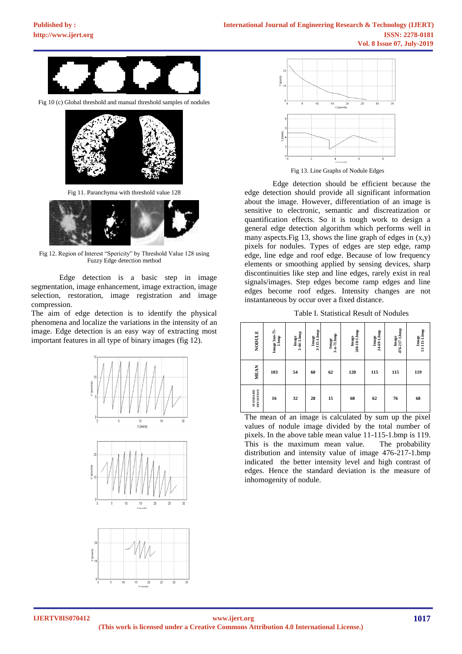

Fig 10 (c) Global threshold and manual threshold samples of nodules



Fig 11. Paranchyma with threshold value 128



Fig 12. Region of Interest "Spericity" by Threshold Value 128 using Fuzzy Edge detection method

Edge detection is a basic step in image segmentation, image enhancement, image extraction, image selection, restoration, image registration and image compression.

The aim of edge detection is to identify the physical phenomena and localize the variations in the intensity of an image. Edge detection is an easy way of extracting most important features in all type of binary images (fig 12).









Fig 13. Line Graphs of Nodule Edges

Edge detection should be efficient because the edge detection should provide all significant information about the image. However, differentiation of an image is sensitive to electronic, semantic and discreatization or quantification effects. So it is tough work to design a general edge detection algorithm which performs well in many aspects. Fig 13, shows the line graph of edges in  $(x,y)$ pixels for nodules. Types of edges are step edge, ramp edge, line edge and roof edge. Because of low frequency elements or smoothing applied by sensing devices, sharp discontinuities like step and line edges, rarely exist in real signals/images. Step edges become ramp edges and line edges become roof edges. Intensity changes are not instantaneous by occur over a fixed distance.

Table I. Statistical Result of Nodules

| NODULE                              | Image 3m-75-<br>1.bmp | 3-44-1.bmp<br>Image | 3-115-1.bmp<br>Image | 3-n-71.hmp<br>Image | 240-10-1.bmp<br>Image | 24-69-1.hmp<br>Image | 476-217-1.bmp<br>Image | Image<br>11-115-1.bmp |
|-------------------------------------|-----------------------|---------------------|----------------------|---------------------|-----------------------|----------------------|------------------------|-----------------------|
| <b>MEAN</b>                         | 103                   | 54                  | 60                   | 62                  | 120                   | 115                  | 115                    | 119                   |
| <b>DEVIATION</b><br><b>STANDARD</b> | 16                    | 32                  | 28                   | 15                  | 68                    | 62                   | 76                     | 68                    |

The mean of an image is calculated by sum up the pixel values of nodule image divided by the total number of pixels. In the above table mean value 11-115-1.bmp is 119. This is the maximum mean value. The probability distribution and intensity value of image 476-217-1.bmp indicated the better intensity level and high contrast of edges. Hence the standard deviation is the measure of inhomogenity of nodule.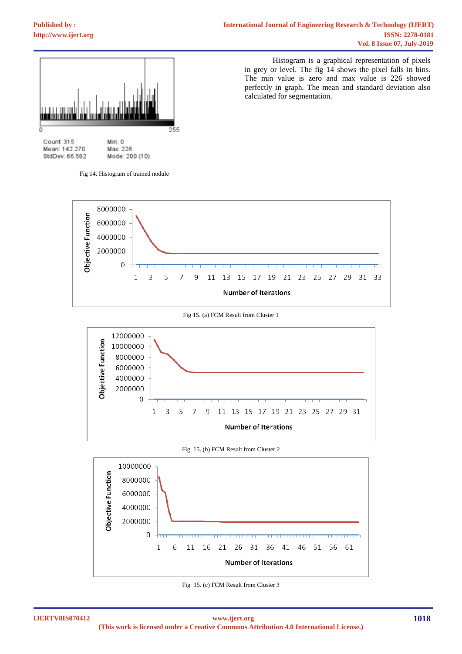

Count 315 Mean: 142.270 StdDev: 66.582

Min: 0 Max: 226 Mode: 200 (10)

Fig 14. Histogram of trained nodule

Histogram is a graphical representation of pixels in grey or level. The fig 14 shows the pixel falls in bins. The min value is zero and max value is 226 showed perfectly in graph. The mean and standard deviation also calculated for segmentation.







Fig 15. (b) FCM Result from Cluster 2



Fig 15. (c) FCM Result from Cluster 3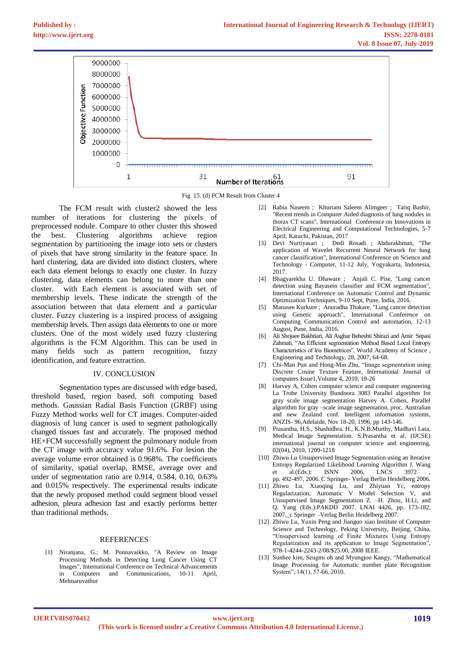

Fig 15. (d) FCM Result from Cluster 4

The FCM result with cluster2 showed the less number of iterations for clustering the pixels of preprocessed nodule. Compare to other cluster this showed the best. Clustering algorithms achieve region segmentation by partitioning the image into sets or clusters of pixels that have strong similarity in the feature space. In hard clustering, data are divided into distinct clusters, where each data element belongs to exactly one cluster. In fuzzy clustering, data elements can belong to more than one cluster. with Each element is associated with set of membership levels. These indicate the strength of the association between that data element and a particular cluster. Fuzzy clustering is a inspired process of assigning membership levels. Then assign data elements to one or more clusters. One of the most widely used fuzzy clustering algorithms is the FCM Algorithm. This can be used in many fields such as pattern recognition, fuzzy identification, and feature extraction.

## IV. CONCLUSION

Segmentation types are discussed with edge based, threshold based, region based, soft computing based methods. Gaussian Radial Basis Function (GRBF) using Fuzzy Method works well for CT images. Computer-aided diagnosis of lung cancer is used to segment pathologically changed tissues fast and accurately. The proposed method HE+FCM successfully segment the pulmonary nodule from the CT image with accuracy value 91.6%. For lesion the average volume error obtained is 0.968%. The coefficients of similarity, spatial overlap, RMSE, average over and under of segmentation ratio are 0.914, 0.584, 0.10, 0.63% and 0.015% respectively. The experimental results indicate that the newly proposed method could segment blood vessel adhesion, pleura adhesion fast and exactly performs better than traditional methods.

#### REFERENCES

[1] Niranjana, G.; M. Ponnavaikko, "A Review on Image Processing Methods in Detecting Lung Cancer Using CT Images", International Conference on Technical Advancements in Computers and Communications, 10-11 April, Melmaruvathur

- [2] Rabia Naseem ; Khurram Saleem Alimgeer ; Tariq Bashir, "Recent trends in Computer Aided diagnosis of lung nodules in thorax CT scans", International Conference on Innovations in Electrical Engineering and Computational Technologies, 5-7 April, Karachi, Pakistan, 2017
- [3] Devi Nurtiyasari ; Dedi Rosadi ; Abdurakhman, "The application of Wavelet Recurrent Neural Network for lung cancer classification", International Conference on Science and Technology - Computer, 11-12 July, Yogyakarta, Indonesia, 2017.
- [4] Bhagyarekha U. Dhaware ; Anjali C. Pise, "Lung cancer detection using Bayasein classifier and FCM segmentation", International Conference on Automatic Control and Dynamic Optimization Techniques, 9-10 Sept, Pune, India, 2016.
- [5] Manasee Kurkure ; Anuradha Thakare, "Lung cancer detection using Genetic approach", International Conference on Computing Communication Control and automation, 12-13 August, Pune, India, 2016.
- [6] Ali Shojaee Bakhtiari, Ali Asghar Beheshti Shirazi and Amir Sepasi Zahmati, "An Efficient segmentation Method Based Local Entropy Characteristics of Iris Biometrices", World Academy of Science , Engineering and Technology, 28, 2007, 64-68.
- [7] Chi-Man Pun and Hong-Min Zhu, "Image segmentation using Discrete Cosine Texture Feature, International Journal of computers Issue1,Volume 4, 2010, 19-26
- [8] Harvey A, Cohen computer science and computer engineering La Trobe University Bundoora 3083 Parallel algorithm for gray scale image segmentation Harvey A. Cohen, Parallel algorithm for gray –scale image segmentation, proc. Australian and new Zealand conf. Intelligent information systems, ANZIS- 96,Adelaide, Nov 18-20, 1996, pp 143-146.
- [9] Prasantha, H.S., Shashidhra. H., K.N.B.Murthy, Madhavi Lata, Medical Image Segmentation. S.Prasantha et al. (IJCSE) international journal on computer science and engineering, 02(04), 2010, 1209-1218
- [10] Zhiwu Lu Unsupervised Image Segmentation using an Iterative Entropy Regularized Likelihood Learning Algorithm J. Wang et al.(Eds.): ISNN 2006, LNCS 3972 pp. 492-497, 2006. C Springer- Verlag Berlin Heidelberg 2006.
- [11] Zhiwu Lu, Xiaoqing Lu, and Zhiyuan Yc, entropy Regularization, Automatic V Model Selection V, and Unsupervised Image Segmentation Z. –H. Zhou, H.Li, and Q. Yang (Eds.):PAKDD 2007. LNAI 4426, pp. 173-182, 2007.\_c Springer –Verlag Berlin Heidelberg 2007.
- [12] Zhiwu Lu, Yuxin Peng and Jianguo xiao Institute of Computer Science and Technology, Peking University, Beijing, China, "Unsupervised learning of Finite Mixtures Using Entropy Regularization and its application to Image Segmentation", 978-1-4244-2243-2/08/\$25.00, 2008 IEEE.
- [13] Sunhee kim, Seugmi oh and Myungjoo Kangy, "Mathematical Image Processing for Automatic number plate Recognition System", 14(1), 57-66, 2010.